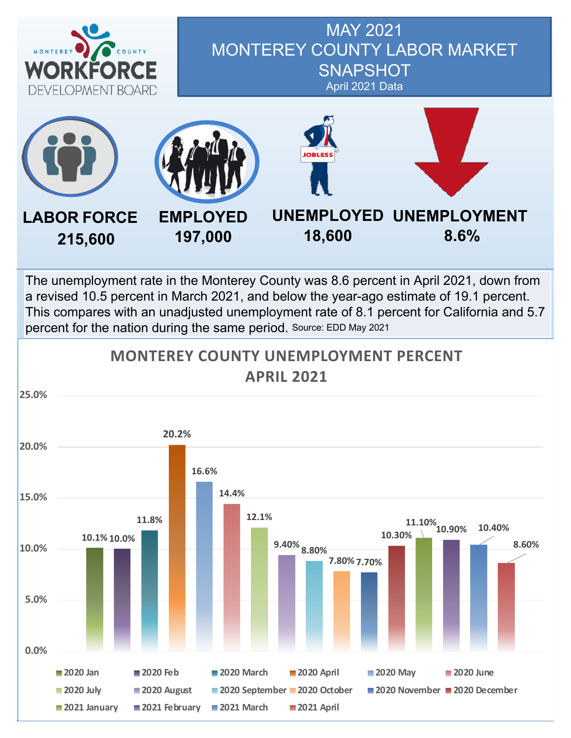

### MAY 2021 MONTEREY COUNTY LABOR MARKET **SNAPSHOT** April 2021 Data



The unemployment rate in the Monterey County was 8.6 percent in April 2021, down from a revised 10.5 percent in March 2021, and below the year-ago estimate of 19.1 percent. This compares with an unadjusted unemployment rate of 8.1 percent for California and 5.7 percent for the nation during the same period. Source: EDD May 2021

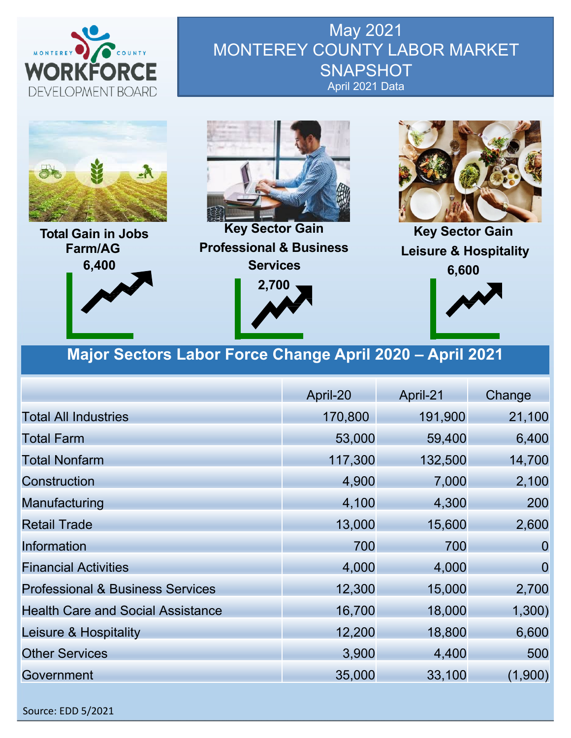

May 2021 MONTEREY COUNTY LABOR MARKET **SNAPSHOT** April 2021 Data



**Total Gain in Jobs Farm/AG 6,400**



**Key Sector Gain Professional & Business Services 2,700**





**Key Sector Gain Leisure & Hospitality 6,600**



### **Major Sectors Labor Force Change April 2020 – April 2021**

|                                             | April-20 | April-21 | Change         |
|---------------------------------------------|----------|----------|----------------|
| <b>Total All Industries</b>                 | 170,800  | 191,900  | 21,100         |
| <b>Total Farm</b>                           | 53,000   | 59,400   | 6,400          |
| <b>Total Nonfarm</b>                        | 117,300  | 132,500  | 14,700         |
| Construction                                | 4,900    | 7,000    | 2,100          |
| Manufacturing                               | 4,100    | 4,300    | 200            |
| <b>Retail Trade</b>                         | 13,000   | 15,600   | 2,600          |
| Information                                 | 700      | 700      | $\overline{0}$ |
| <b>Financial Activities</b>                 | 4,000    | 4,000    | $\overline{0}$ |
| <b>Professional &amp; Business Services</b> | 12,300   | 15,000   | 2,700          |
| <b>Health Care and Social Assistance</b>    | 16,700   | 18,000   | 1,300)         |
| Leisure & Hospitality                       | 12,200   | 18,800   | 6,600          |
| <b>Other Services</b>                       | 3,900    | 4,400    | 500            |
| Government                                  | 35,000   | 33,100   | (1,900)        |

Source: EDD 5/2021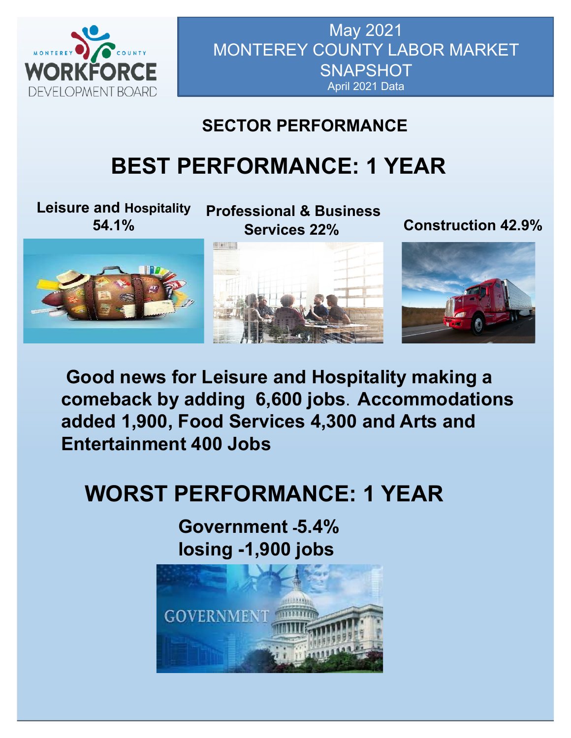

May 2021 MONTEREY COUNTY LABOR MARKET **SNAPSHOT** April 2021 Data

# **SECTOR PERFORMANCE**

# **BEST PERFORMANCE: 1 YEAR**

**Leisure and Hospitality 54.1%**

**Professional & Business** 

**Services 22% Construction 42.9%**



**Good news for Leisure and Hospitality making a comeback by adding 6,600 jobs**. **Accommodations added 1,900, Food Services 4,300 and Arts and Entertainment 400 Jobs**

# **WORST PERFORMANCE: 1 YEAR**

**Government -5.4% losing -1,900 jobs**

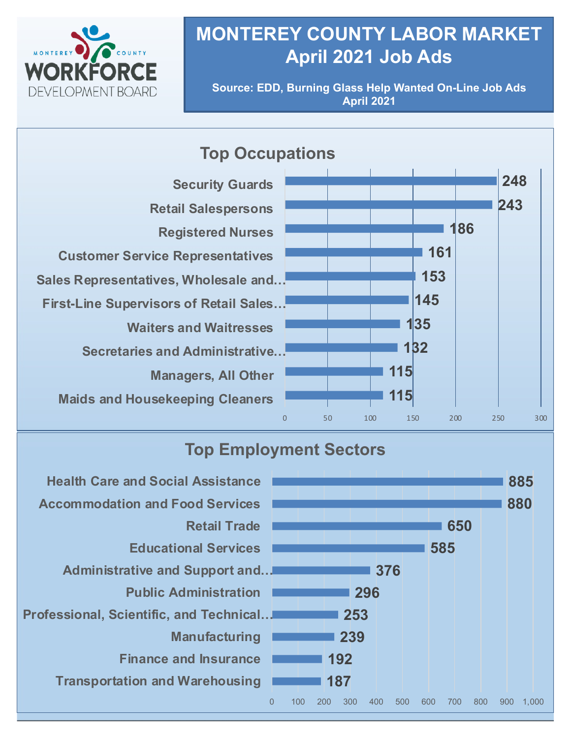

# **MONTEREY COUNTY LABOR MARKET April 2021 Job Ads**

**Source: EDD, Burning Glass Help Wanted On-Line Job Ads April 2021**

#### **115 115 132 135 145 153 161 186 243 248** 0 50 100 150 200 250 300 **Maids and Housekeeping Cleaners Managers, All Other Secretaries and Administrative… Waiters and Waitresses First-Line Supervisors of Retail Sales… Sales Representatives, Wholesale and… Customer Service Representatives Registered Nurses Retail Salespersons Security Guards Top Occupations**

## **Top Employment Sectors**

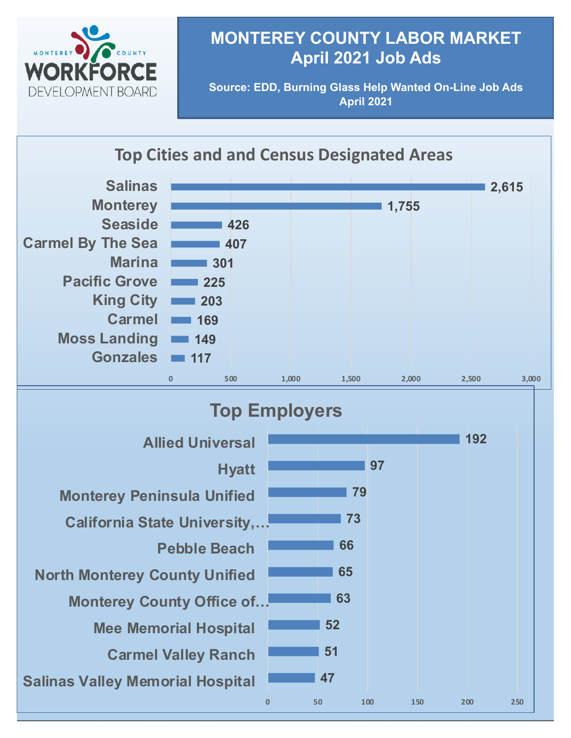

## **MONTEREY COUNTY LABOR MARKET April 2021 Job Ads**

**Source: EDD, Burning Glass Help Wanted On-Line Job Ads April 2021**

### **Top Cities and and Census Designated Areas**



#### **47 51 52 63 65 66 73 79 97 192 0 50 100 150 200 250 Salinas Valley Memorial Hospital Carmel Valley Ranch Mee Memorial Hospital Monterey County Office of… North Monterey County Unified Pebble Beach California State University,… Monterey Peninsula Unified Hyatt Allied Universal Top Employers**